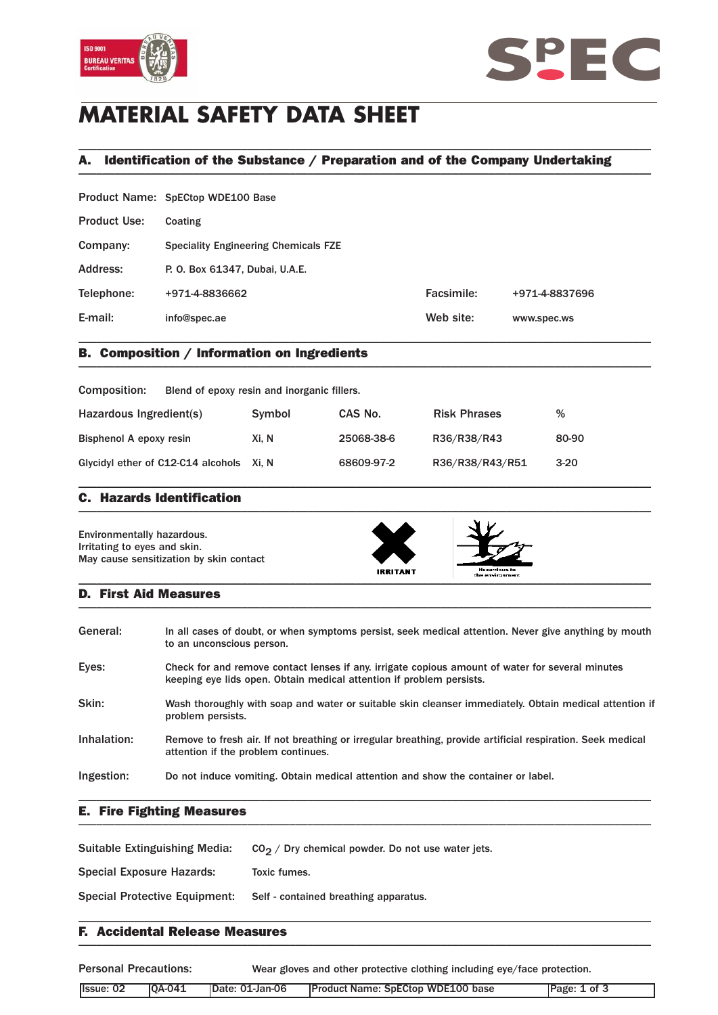



# **MATERIAL SAFETY DATA SHEET**

## A. Identification of the Substance / Preparation and of the Company Undertaking \_\_\_\_\_\_\_\_\_\_\_\_\_\_\_\_\_\_\_\_\_\_\_\_\_\_\_\_\_\_\_\_\_\_\_\_\_\_\_\_\_\_\_\_\_\_\_\_\_\_\_\_\_\_\_\_\_\_\_\_\_\_\_\_\_\_\_\_\_\_\_\_\_\_\_\_\_\_\_\_\_\_\_\_\_\_\_\_\_\_\_\_\_\_\_

\_\_\_\_\_\_\_\_\_\_\_\_\_\_\_\_\_\_\_\_\_\_\_\_\_\_\_\_\_\_\_\_\_\_\_\_\_\_\_\_\_\_\_\_\_\_\_\_\_\_\_\_\_\_\_\_\_\_\_\_\_\_\_\_\_\_\_\_\_\_\_\_\_\_\_\_\_\_\_\_\_\_\_\_\_\_\_\_\_\_\_\_\_\_\_

|                     | Product Name: SpECtop WDE100 Base           |            |                |  |
|---------------------|---------------------------------------------|------------|----------------|--|
| <b>Product Use:</b> | Coating                                     |            |                |  |
| Company:            | <b>Speciality Engineering Chemicals FZE</b> |            |                |  |
| Address:            | P. O. Box 61347, Dubai, U.A.E.              |            |                |  |
| Telephone:          | +971-4-8836662                              | Facsimile: | +971-4-8837696 |  |
| E-mail:             | info@spec.ae                                | Web site:  | www.spec.ws    |  |
|                     |                                             |            |                |  |

### B. Composition / Information on Ingredients \_\_\_\_\_\_\_\_\_\_\_\_\_\_\_\_\_\_\_\_\_\_\_\_\_\_\_\_\_\_\_\_\_\_\_\_\_\_\_\_\_\_\_\_\_\_\_\_\_\_\_\_\_\_\_\_\_\_\_\_\_\_\_\_\_\_\_\_\_\_\_\_\_\_\_\_\_\_\_\_\_\_\_\_\_\_\_\_\_\_\_\_\_\_\_

| Composition:                             | Blend of epoxy resin and inorganic fillers. |            |                     |        |
|------------------------------------------|---------------------------------------------|------------|---------------------|--------|
| Hazardous Ingredient(s)                  | Symbol                                      | CAS No.    | <b>Risk Phrases</b> | %      |
| Bisphenol A epoxy resin                  | Xi. N                                       | 25068-38-6 | R36/R38/R43         | 80-90  |
| Glycidyl ether of C12-C14 alcohols Xi, N |                                             | 68609-97-2 | R36/R38/R43/R51     | $3-20$ |

\_\_\_\_\_\_\_\_\_\_\_\_\_\_\_\_\_\_\_\_\_\_\_\_\_\_\_\_\_\_\_\_\_\_\_\_\_\_\_\_\_\_\_\_\_\_\_\_\_\_\_\_\_\_\_\_\_\_\_\_\_\_\_\_\_\_\_\_\_\_\_\_\_\_\_\_\_\_\_\_\_\_\_\_\_\_\_\_\_\_\_\_\_\_\_

### C. Hazards Identification  $\blacksquare$

Environmentally hazardous. Irritating to eyes and skin. May cause sensitization by skin contact





#### D. First Aid Measures  $\blacksquare$

| General:    | In all cases of doubt, or when symptoms persist, seek medical attention. Never give anything by mouth<br>to an unconscious person.                                       |
|-------------|--------------------------------------------------------------------------------------------------------------------------------------------------------------------------|
| Eyes:       | Check for and remove contact lenses if any, irrigate copious amount of water for several minutes<br>keeping eye lids open. Obtain medical attention if problem persists. |
| Skin:       | Wash thoroughly with soap and water or suitable skin cleanser immediately. Obtain medical attention if<br>problem persists.                                              |
| Inhalation: | Remove to fresh air. If not breathing or irregular breathing, provide artificial respiration. Seek medical<br>attention if the problem continues.                        |
| Ingestion:  | Do not induce vomiting. Obtain medical attention and show the container or label.                                                                                        |

\_\_\_\_\_\_\_\_\_\_\_\_\_\_\_\_\_\_\_\_\_\_\_\_\_\_\_\_\_\_\_\_\_\_\_\_\_\_\_\_\_\_\_\_\_\_\_\_\_\_\_\_\_\_\_\_\_\_\_\_\_\_\_\_\_\_\_\_\_\_\_\_\_\_\_\_\_\_\_\_\_\_\_\_\_\_\_\_\_\_\_\_\_\_\_

### E. Fire Fighting Measures \_\_\_\_\_\_\_\_\_\_\_\_\_\_\_\_\_\_\_\_\_\_\_\_\_\_\_\_\_\_\_\_\_\_\_\_\_\_\_\_\_\_\_\_\_\_\_\_\_\_\_\_\_\_\_\_\_\_\_\_\_\_\_\_\_\_\_\_\_\_\_\_\_\_\_\_\_\_\_\_\_\_\_\_\_\_\_\_\_\_\_\_\_\_\_

| Suitable Extinguishing Media:        | $CO2$ / Dry chemical powder. Do not use water jets. |
|--------------------------------------|-----------------------------------------------------|
| Special Exposure Hazards:            | Toxic fumes.                                        |
| <b>Special Protective Equipment:</b> | Self - contained breathing apparatus.               |
|                                      |                                                     |

### F. Accidental Release Measures  $\blacksquare$

Personal Precautions: Wear gloves and other protective clothing including eye/face protection.

| Issue: 02 | $[QA-041]$ | Date: 01-Jan-06 | <b>Product Name: SpECtop WDE100 base</b> | Page: 1 of 3 |
|-----------|------------|-----------------|------------------------------------------|--------------|
|           |            |                 |                                          |              |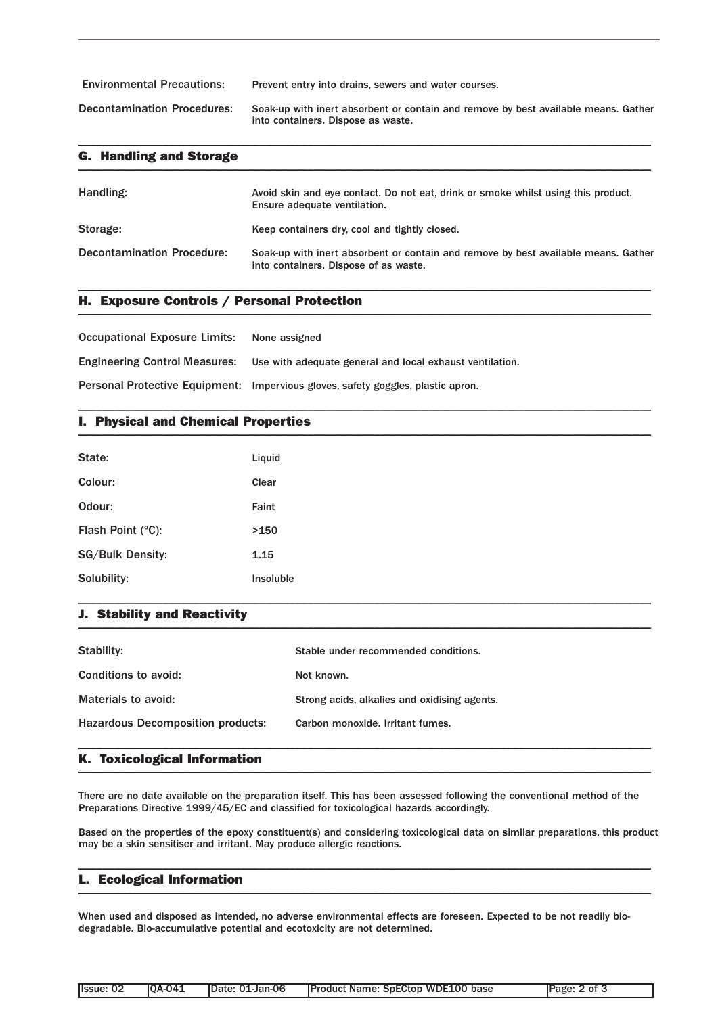| <b>Environmental Precautions:</b>  | Prevent entry into drains, sewers and water courses.                                                                     |
|------------------------------------|--------------------------------------------------------------------------------------------------------------------------|
| <b>Decontamination Procedures:</b> | Soak-up with inert absorbent or contain and remove by best available means. Gather<br>into containers. Dispose as waste. |

\_\_\_\_\_\_\_\_\_\_\_\_\_\_\_\_\_\_\_\_\_\_\_\_\_\_\_\_\_\_\_\_\_\_\_\_\_\_\_\_\_\_\_\_\_\_\_\_\_\_\_\_\_\_\_\_\_\_\_\_\_\_\_\_\_\_\_\_\_\_\_\_\_\_\_\_\_\_\_\_\_\_\_\_\_\_\_\_\_\_\_\_\_\_\_

| <b>G. Handling and Storage</b>    |                                                                                                                             |
|-----------------------------------|-----------------------------------------------------------------------------------------------------------------------------|
| Handling:                         | Avoid skin and eye contact. Do not eat, drink or smoke whilst using this product.<br>Ensure adequate ventilation.           |
| Storage:                          | Keep containers dry, cool and tightly closed.                                                                               |
| <b>Decontamination Procedure:</b> | Soak-up with inert absorbent or contain and remove by best available means. Gather<br>into containers. Dispose of as waste. |

\_\_\_\_\_\_\_\_\_\_\_\_\_\_\_\_\_\_\_\_\_\_\_\_\_\_\_\_\_\_\_\_\_\_\_\_\_\_\_\_\_\_\_\_\_\_\_\_\_\_\_\_\_\_\_\_\_\_\_\_\_\_\_\_\_\_\_\_\_\_\_\_\_\_\_\_\_\_\_\_\_\_\_\_\_\_\_\_\_\_\_\_\_\_\_

\_\_\_\_\_\_\_\_\_\_\_\_\_\_\_\_\_\_\_\_\_\_\_\_\_\_\_\_\_\_\_\_\_\_\_\_\_\_\_\_\_\_\_\_\_\_\_\_\_\_\_\_\_\_\_\_\_\_\_\_\_\_\_\_\_\_\_\_\_\_\_\_\_\_\_\_\_\_\_\_\_\_\_\_\_\_\_\_\_\_\_\_\_\_\_

### H. Exposure Controls / Personal Protection \_\_\_\_\_\_\_\_\_\_\_\_\_\_\_\_\_\_\_\_\_\_\_\_\_\_\_\_\_\_\_\_\_\_\_\_\_\_\_\_\_\_\_\_\_\_\_\_\_\_\_\_\_\_\_\_\_\_\_\_\_\_\_\_\_\_\_\_\_\_\_\_\_\_\_\_\_\_\_\_\_\_\_\_\_\_\_\_\_\_\_\_\_\_\_

| <b>Occupational Exposure Limits:</b> | None assigned                                                                    |
|--------------------------------------|----------------------------------------------------------------------------------|
| <b>Engineering Control Measures:</b> | Use with adequate general and local exhaust ventilation.                         |
|                                      | Personal Protective Equipment: Impervious gloves, safety goggles, plastic apron. |

### I. Physical and Chemical Properties \_\_\_\_\_\_\_\_\_\_\_\_\_\_\_\_\_\_\_\_\_\_\_\_\_\_\_\_\_\_\_\_\_\_\_\_\_\_\_\_\_\_\_\_\_\_\_\_\_\_\_\_\_\_\_\_\_\_\_\_\_\_\_\_\_\_\_\_\_\_\_\_\_\_\_\_\_\_\_\_\_\_\_\_\_\_\_\_\_\_\_\_\_\_\_

| State:                  | Liquid    |
|-------------------------|-----------|
| Colour:                 | Clear     |
| Odour:                  | Faint     |
| Flash Point (°C):       | >150      |
| <b>SG/Bulk Density:</b> | 1.15      |
| Solubility:             | Insoluble |

### J. Stability and Reactivity  $\blacksquare$

| Stability:                               | Stable under recommended conditions.         |
|------------------------------------------|----------------------------------------------|
| Conditions to avoid:                     | Not known.                                   |
| Materials to avoid:                      | Strong acids, alkalies and oxidising agents. |
| <b>Hazardous Decomposition products:</b> | Carbon monoxide. Irritant fumes.             |
|                                          |                                              |

\_\_\_\_\_\_\_\_\_\_\_\_\_\_\_\_\_\_\_\_\_\_\_\_\_\_\_\_\_\_\_\_\_\_\_\_\_\_\_\_\_\_\_\_\_\_\_\_\_\_\_\_\_\_\_\_\_\_\_\_\_\_\_\_\_\_\_\_\_\_\_\_\_\_\_\_\_\_\_\_\_\_\_\_\_\_\_\_\_\_\_\_\_\_\_

### K. Toxicological Information \_\_\_\_\_\_\_\_\_\_\_\_\_\_\_\_\_\_\_\_\_\_\_\_\_\_\_\_\_\_\_\_\_\_\_\_\_\_\_\_\_\_\_\_\_\_\_\_\_\_\_\_\_\_\_\_\_\_\_\_\_\_\_\_\_\_\_\_\_\_\_\_\_\_\_\_\_\_\_\_\_\_\_\_\_\_\_\_\_\_\_\_\_\_\_

There are no date available on the preparation itself. This has been assessed following the conventional method of the Preparations Directive 1999/45/EC and classified for toxicological hazards accordingly.

Based on the properties of the epoxy constituent(s) and considering toxicological data on similar preparations, this product may be a skin sensitiser and irritant. May produce allergic reactions.

\_\_\_\_\_\_\_\_\_\_\_\_\_\_\_\_\_\_\_\_\_\_\_\_\_\_\_\_\_\_\_\_\_\_\_\_\_\_\_\_\_\_\_\_\_\_\_\_\_\_\_\_\_\_\_\_\_\_\_\_\_\_\_\_\_\_\_\_\_\_\_\_\_\_\_\_\_\_\_\_\_\_\_\_\_\_\_\_\_\_\_\_\_\_\_

#### L. Ecological Information \_\_\_\_\_\_\_\_\_\_\_\_\_\_\_\_\_\_\_\_\_\_\_\_\_\_\_\_\_\_\_\_\_\_\_\_\_\_\_\_\_\_\_\_\_\_\_\_\_\_\_\_\_\_\_\_\_\_\_\_\_\_\_\_\_\_\_\_\_\_\_\_\_\_\_\_\_\_\_\_\_\_\_\_\_\_\_\_\_\_\_\_\_\_\_

When used and disposed as intended, no adverse environmental effects are foreseen. Expected to be not readily biodegradable. Bio-accumulative potential and ecotoxicity are not determined.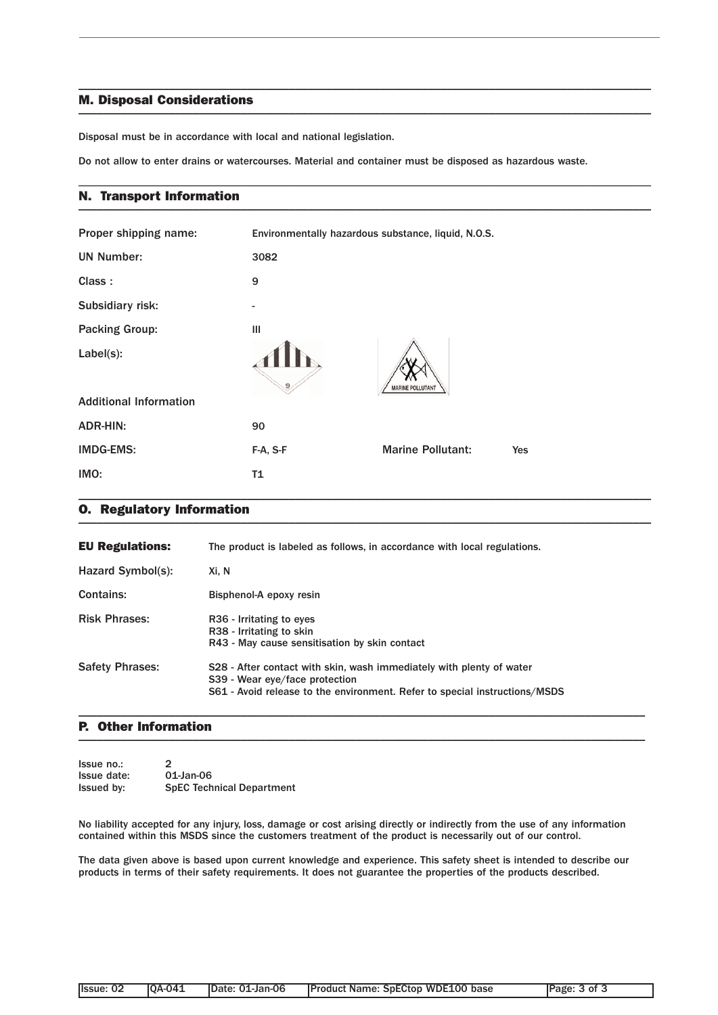### M. Disposal Considerations  $\blacksquare$

Disposal must be in accordance with local and national legislation.

Do not allow to enter drains or watercourses. Material and container must be disposed as hazardous waste.

\_\_\_\_\_\_\_\_\_\_\_\_\_\_\_\_\_\_\_\_\_\_\_\_\_\_\_\_\_\_\_\_\_\_\_\_\_\_\_\_\_\_\_\_\_\_\_\_\_\_\_\_\_\_\_\_\_\_\_\_\_\_\_\_\_\_\_\_\_\_\_\_\_\_\_\_\_\_\_\_\_\_\_\_\_\_\_\_\_\_\_\_\_\_\_

\_\_\_\_\_\_\_\_\_\_\_\_\_\_\_\_\_\_\_\_\_\_\_\_\_\_\_\_\_\_\_\_\_\_\_\_\_\_\_\_\_\_\_\_\_\_\_\_\_\_\_\_\_\_\_\_\_\_\_\_\_\_\_\_\_\_\_\_\_\_\_\_\_\_\_\_\_\_\_\_\_\_\_\_\_\_\_\_\_\_\_\_\_\_\_

#### N. Transport Information \_\_\_\_\_\_\_\_\_\_\_\_\_\_\_\_\_\_\_\_\_\_\_\_\_\_\_\_\_\_\_\_\_\_\_\_\_\_\_\_\_\_\_\_\_\_\_\_\_\_\_\_\_\_\_\_\_\_\_\_\_\_\_\_\_\_\_\_\_\_\_\_\_\_\_\_\_\_\_\_\_\_\_\_\_\_\_\_\_\_\_\_\_\_\_

| Proper shipping name:         | Environmentally hazardous substance, liquid, N.O.S. |                          |     |
|-------------------------------|-----------------------------------------------------|--------------------------|-----|
| <b>UN Number:</b>             | 3082                                                |                          |     |
| Class:                        | 9                                                   |                          |     |
| Subsidiary risk:              | -                                                   |                          |     |
| <b>Packing Group:</b>         | Ш                                                   |                          |     |
| Label(s):                     | 9                                                   | <b>MARINE POLLUTANT</b>  |     |
| <b>Additional Information</b> |                                                     |                          |     |
| <b>ADR-HIN:</b>               | 90                                                  |                          |     |
| <b>IMDG-EMS:</b>              | F-A, S-F                                            | <b>Marine Pollutant:</b> | Yes |
| IMO:                          | T1                                                  |                          |     |

#### O. Regulatory Information \_\_\_\_\_\_\_\_\_\_\_\_\_\_\_\_\_\_\_\_\_\_\_\_\_\_\_\_\_\_\_\_\_\_\_\_\_\_\_\_\_\_\_\_\_\_\_\_\_\_\_\_\_\_\_\_\_\_\_\_\_\_\_\_\_\_\_\_\_\_\_\_\_\_\_\_\_\_\_\_\_\_\_\_\_\_\_\_\_\_\_\_\_\_\_

| <b>EU Regulations:</b> | The product is labeled as follows, in accordance with local regulations.                                                                                                             |
|------------------------|--------------------------------------------------------------------------------------------------------------------------------------------------------------------------------------|
| Hazard Symbol(s):      | Xi. N                                                                                                                                                                                |
| Contains:              | Bisphenol-A epoxy resin                                                                                                                                                              |
| <b>Risk Phrases:</b>   | R <sub>36</sub> - Irritating to eyes<br>R38 - Irritating to skin<br>R43 - May cause sensitisation by skin contact                                                                    |
| <b>Safety Phrases:</b> | S28 - After contact with skin, wash immediately with plenty of water<br>S39 - Wear eye/face protection<br>S61 - Avoid release to the environment. Refer to special instructions/MSDS |

### P. Other Information  $\blacksquare$

| Issue no.:        | $\mathcal{P}$                    |
|-------------------|----------------------------------|
| Issue date:       | 01-Jan-06                        |
| <b>Issued by:</b> | <b>SpEC Technical Department</b> |

No liability accepted for any injury, loss, damage or cost arising directly or indirectly from the use of any information contained within this MSDS since the customers treatment of the product is necessarily out of our control.

\_\_\_\_\_\_\_\_\_\_\_\_\_\_\_\_\_\_\_\_\_\_\_\_\_\_\_\_\_\_\_\_\_\_\_\_\_\_\_\_\_\_\_\_\_\_\_\_\_\_\_\_\_\_\_\_\_\_\_\_\_\_\_\_\_\_\_\_\_\_\_\_\_\_\_\_\_\_\_\_\_\_\_\_\_\_\_\_\_\_\_\_\_\_

The data given above is based upon current knowledge and experience. This safety sheet is intended to describe our products in terms of their safety requirements. It does not guarantee the properties of the products described.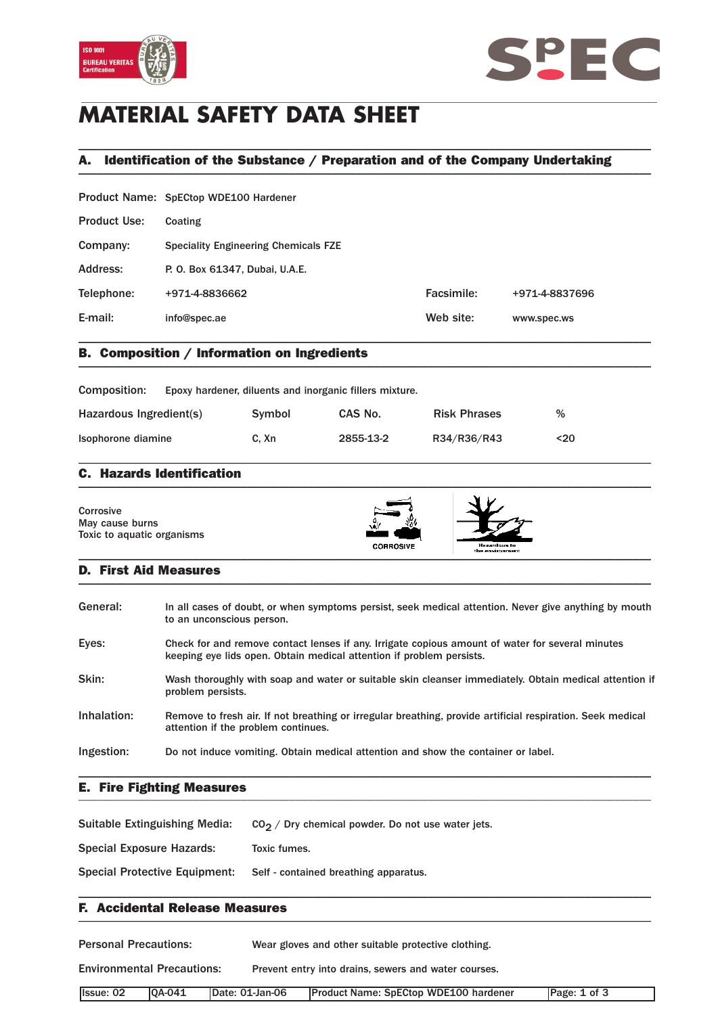



# **MATERIAL SAFETY DATA SHEET**

## A. Identification of the Substance / Preparation and of the Company Undertaking \_\_\_\_\_\_\_\_\_\_\_\_\_\_\_\_\_\_\_\_\_\_\_\_\_\_\_\_\_\_\_\_\_\_\_\_\_\_\_\_\_\_\_\_\_\_\_\_\_\_\_\_\_\_\_\_\_\_\_\_\_\_\_\_\_\_\_\_\_\_\_\_\_\_\_\_\_\_\_\_\_\_\_\_\_\_\_\_\_\_\_\_\_\_\_

\_\_\_\_\_\_\_\_\_\_\_\_\_\_\_\_\_\_\_\_\_\_\_\_\_\_\_\_\_\_\_\_\_\_\_\_\_\_\_\_\_\_\_\_\_\_\_\_\_\_\_\_\_\_\_\_\_\_\_\_\_\_\_\_\_\_\_\_\_\_\_\_\_\_\_\_\_\_\_\_\_\_\_\_\_\_\_\_\_\_\_\_\_\_\_

|                     | Product Name: SpECtop WDE100 Hardener       |            |                |
|---------------------|---------------------------------------------|------------|----------------|
| <b>Product Use:</b> | Coating                                     |            |                |
| Company:            | <b>Speciality Engineering Chemicals FZE</b> |            |                |
| Address:            | P. O. Box 61347, Dubai, U.A.E.              |            |                |
| Telephone:          | +971-4-8836662                              | Facsimile: | +971-4-8837696 |
| E-mail:             | info@spec.ae                                | Web site:  | www.spec.ws    |
|                     |                                             |            |                |

### B. Composition / Information on Ingredients \_\_\_\_\_\_\_\_\_\_\_\_\_\_\_\_\_\_\_\_\_\_\_\_\_\_\_\_\_\_\_\_\_\_\_\_\_\_\_\_\_\_\_\_\_\_\_\_\_\_\_\_\_\_\_\_\_\_\_\_\_\_\_\_\_\_\_\_\_\_\_\_\_\_\_\_\_\_\_\_\_\_\_\_\_\_\_\_\_\_\_\_\_\_\_

| Composition:            | Epoxy hardener, diluents and inorganic fillers mixture. |        |           |                     |      |
|-------------------------|---------------------------------------------------------|--------|-----------|---------------------|------|
| Hazardous Ingredient(s) |                                                         | Symbol | CAS No.   | <b>Risk Phrases</b> | %    |
| Isophorone diamine      |                                                         | C. Xn  | 2855-13-2 | R34/R36/R43         | $20$ |

\_\_\_\_\_\_\_\_\_\_\_\_\_\_\_\_\_\_\_\_\_\_\_\_\_\_\_\_\_\_\_\_\_\_\_\_\_\_\_\_\_\_\_\_\_\_\_\_\_\_\_\_\_\_\_\_\_\_\_\_\_\_\_\_\_\_\_\_\_\_\_\_\_\_\_\_\_\_\_\_\_\_\_\_\_\_\_\_\_\_\_\_\_\_\_

### C. Hazards Identification  $\blacksquare$

| Corrosive<br>May cause burns<br>Toxic to aquatic organisms | ری د<br><b>CORROSIVE</b> | Hezardous to<br>the environment |  |
|------------------------------------------------------------|--------------------------|---------------------------------|--|
|------------------------------------------------------------|--------------------------|---------------------------------|--|

### D. First Aid Measures \_\_\_\_\_\_\_\_\_\_\_\_\_\_\_\_\_\_\_\_\_\_\_\_\_\_\_\_\_\_\_\_\_\_\_\_\_\_\_\_\_\_\_\_\_\_\_\_\_\_\_\_\_\_\_\_\_\_\_\_\_\_\_\_\_\_\_\_\_\_\_\_\_\_\_\_\_\_\_\_\_\_\_\_\_\_\_\_\_\_\_\_\_\_\_

| General:    | In all cases of doubt, or when symptoms persist, seek medical attention. Never give anything by mouth<br>to an unconscious person.                                       |
|-------------|--------------------------------------------------------------------------------------------------------------------------------------------------------------------------|
| Eyes:       | Check for and remove contact lenses if any. Irrigate copious amount of water for several minutes<br>keeping eye lids open. Obtain medical attention if problem persists. |
| Skin:       | Wash thoroughly with soap and water or suitable skin cleanser immediately. Obtain medical attention if<br>problem persists.                                              |
| Inhalation: | Remove to fresh air. If not breathing or irregular breathing, provide artificial respiration. Seek medical<br>attention if the problem continues.                        |
| Ingestion:  | Do not induce vomiting. Obtain medical attention and show the container or label.                                                                                        |

### E. Fire Fighting Measures \_\_\_\_\_\_\_\_\_\_\_\_\_\_\_\_\_\_\_\_\_\_\_\_\_\_\_\_\_\_\_\_\_\_\_\_\_\_\_\_\_\_\_\_\_\_\_\_\_\_\_\_\_\_\_\_\_\_\_\_\_\_\_\_\_\_\_\_\_\_\_\_\_\_\_\_\_\_\_\_\_\_\_\_\_\_\_\_\_\_\_\_\_\_\_

Suitable Extinguishing Media:  $CO_2 /$  Dry chemical powder. Do not use water jets.

Special Exposure Hazards: Toxic fumes.

Special Protective Equipment: Self - contained breathing apparatus.

### F. Accidental Release Measures \_\_\_\_\_\_\_\_\_\_\_\_\_\_\_\_\_\_\_\_\_\_\_\_\_\_\_\_\_\_\_\_\_\_\_\_\_\_\_\_\_\_\_\_\_\_\_\_\_\_\_\_\_\_\_\_\_\_\_\_\_\_\_\_\_\_\_\_\_\_\_\_\_\_\_\_\_\_\_\_\_\_\_\_\_\_\_\_\_\_\_\_\_\_\_

| <b>Personal Precautions:</b>      |               | Wear gloves and other suitable protective clothing.  |                 |                                              |              |
|-----------------------------------|---------------|------------------------------------------------------|-----------------|----------------------------------------------|--------------|
| <b>Environmental Precautions:</b> |               | Prevent entry into drains, sewers and water courses. |                 |                                              |              |
| Issue: 02                         | <b>0A-041</b> |                                                      | Date: 01-Jan-06 | <b>Product Name: SpECtop WDE100 hardener</b> | Page: 1 of 3 |

\_\_\_\_\_\_\_\_\_\_\_\_\_\_\_\_\_\_\_\_\_\_\_\_\_\_\_\_\_\_\_\_\_\_\_\_\_\_\_\_\_\_\_\_\_\_\_\_\_\_\_\_\_\_\_\_\_\_\_\_\_\_\_\_\_\_\_\_\_\_\_\_\_\_\_\_\_\_\_\_\_\_\_\_\_\_\_\_\_\_\_\_\_\_\_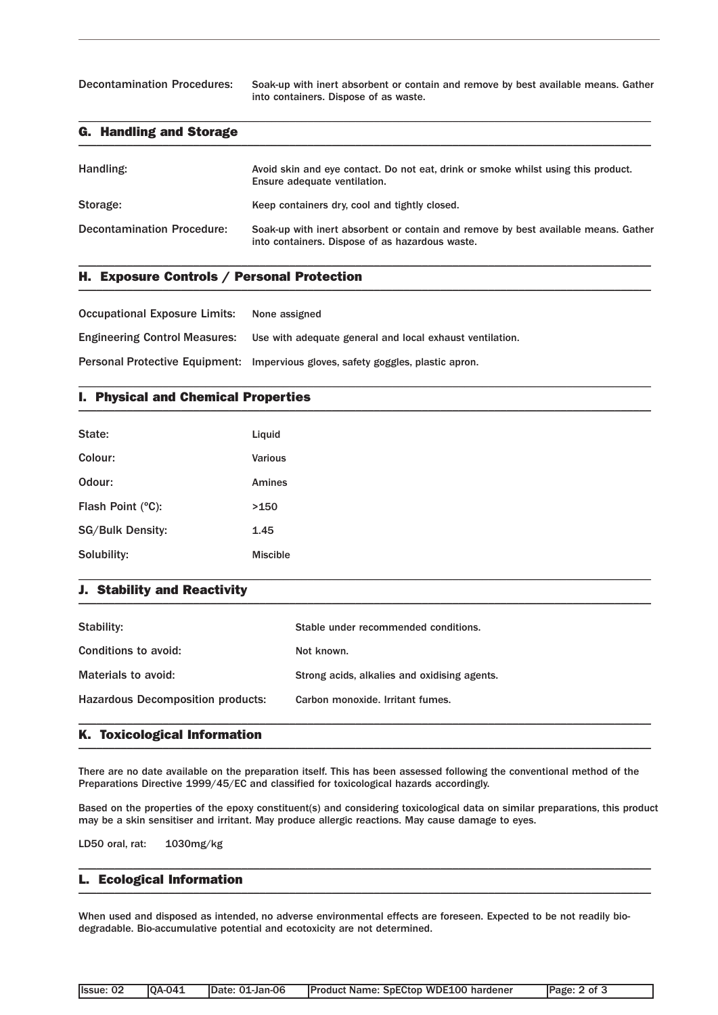Decontamination Procedures: Soak-up with inert absorbent or contain and remove by best available means. Gather into containers. Dispose of as waste.

#### G. Handling and Storage  $\blacksquare$

| Handling:                         | Avoid skin and eye contact. Do not eat, drink or smoke whilst using this product.<br>Ensure adequate ventilation.                     |
|-----------------------------------|---------------------------------------------------------------------------------------------------------------------------------------|
| Storage:                          | Keep containers dry, cool and tightly closed.                                                                                         |
| <b>Decontamination Procedure:</b> | Soak-up with inert absorbent or contain and remove by best available means. Gather<br>into containers. Dispose of as hazardous waste. |

\_\_\_\_\_\_\_\_\_\_\_\_\_\_\_\_\_\_\_\_\_\_\_\_\_\_\_\_\_\_\_\_\_\_\_\_\_\_\_\_\_\_\_\_\_\_\_\_\_\_\_\_\_\_\_\_\_\_\_\_\_\_\_\_\_\_\_\_\_\_\_\_\_\_\_\_\_\_\_\_\_\_\_\_\_\_\_\_\_\_\_\_\_\_\_

\_\_\_\_\_\_\_\_\_\_\_\_\_\_\_\_\_\_\_\_\_\_\_\_\_\_\_\_\_\_\_\_\_\_\_\_\_\_\_\_\_\_\_\_\_\_\_\_\_\_\_\_\_\_\_\_\_\_\_\_\_\_\_\_\_\_\_\_\_\_\_\_\_\_\_\_\_\_\_\_\_\_\_\_\_\_\_\_\_\_\_\_\_\_\_

\_\_\_\_\_\_\_\_\_\_\_\_\_\_\_\_\_\_\_\_\_\_\_\_\_\_\_\_\_\_\_\_\_\_\_\_\_\_\_\_\_\_\_\_\_\_\_\_\_\_\_\_\_\_\_\_\_\_\_\_\_\_\_\_\_\_\_\_\_\_\_\_\_\_\_\_\_\_\_\_\_\_\_\_\_\_\_\_\_\_\_\_\_\_\_

### H. Exposure Controls / Personal Protection \_\_\_\_\_\_\_\_\_\_\_\_\_\_\_\_\_\_\_\_\_\_\_\_\_\_\_\_\_\_\_\_\_\_\_\_\_\_\_\_\_\_\_\_\_\_\_\_\_\_\_\_\_\_\_\_\_\_\_\_\_\_\_\_\_\_\_\_\_\_\_\_\_\_\_\_\_\_\_\_\_\_\_\_\_\_\_\_\_\_\_\_\_\_\_

Occupational Exposure Limits: None assigned

Engineering Control Measures: Use with adequate general and local exhaust ventilation.

Personal Protective Equipment: Impervious gloves, safety goggles, plastic apron.

### I. Physical and Chemical Properties \_\_\_\_\_\_\_\_\_\_\_\_\_\_\_\_\_\_\_\_\_\_\_\_\_\_\_\_\_\_\_\_\_\_\_\_\_\_\_\_\_\_\_\_\_\_\_\_\_\_\_\_\_\_\_\_\_\_\_\_\_\_\_\_\_\_\_\_\_\_\_\_\_\_\_\_\_\_\_\_\_\_\_\_\_\_\_\_\_\_\_\_\_\_\_

| State:                  | Liquid          |
|-------------------------|-----------------|
| Colour:                 | Various         |
| Odour:                  | Amines          |
| Flash Point (°C):       | >150            |
| <b>SG/Bulk Density:</b> | 1.45            |
| Solubility:             | <b>Miscible</b> |

### J. Stability and Reactivity  $\blacksquare$

| Stability:                               | Stable under recommended conditions.         |
|------------------------------------------|----------------------------------------------|
| Conditions to avoid:                     | Not known.                                   |
| Materials to avoid:                      | Strong acids, alkalies and oxidising agents. |
| <b>Hazardous Decomposition products:</b> | Carbon monoxide. Irritant fumes.             |
|                                          |                                              |

\_\_\_\_\_\_\_\_\_\_\_\_\_\_\_\_\_\_\_\_\_\_\_\_\_\_\_\_\_\_\_\_\_\_\_\_\_\_\_\_\_\_\_\_\_\_\_\_\_\_\_\_\_\_\_\_\_\_\_\_\_\_\_\_\_\_\_\_\_\_\_\_\_\_\_\_\_\_\_\_\_\_\_\_\_\_\_\_\_\_\_\_\_\_\_

### K. Toxicological Information \_\_\_\_\_\_\_\_\_\_\_\_\_\_\_\_\_\_\_\_\_\_\_\_\_\_\_\_\_\_\_\_\_\_\_\_\_\_\_\_\_\_\_\_\_\_\_\_\_\_\_\_\_\_\_\_\_\_\_\_\_\_\_\_\_\_\_\_\_\_\_\_\_\_\_\_\_\_\_\_\_\_\_\_\_\_\_\_\_\_\_\_\_\_\_

There are no date available on the preparation itself. This has been assessed following the conventional method of the Preparations Directive 1999/45/EC and classified for toxicological hazards accordingly.

Based on the properties of the epoxy constituent(s) and considering toxicological data on similar preparations, this product may be a skin sensitiser and irritant. May produce allergic reactions. May cause damage to eyes.

\_\_\_\_\_\_\_\_\_\_\_\_\_\_\_\_\_\_\_\_\_\_\_\_\_\_\_\_\_\_\_\_\_\_\_\_\_\_\_\_\_\_\_\_\_\_\_\_\_\_\_\_\_\_\_\_\_\_\_\_\_\_\_\_\_\_\_\_\_\_\_\_\_\_\_\_\_\_\_\_\_\_\_\_\_\_\_\_\_\_\_\_\_\_\_

LD50 oral, rat: 1030mg/kg

#### L. Ecological Information \_\_\_\_\_\_\_\_\_\_\_\_\_\_\_\_\_\_\_\_\_\_\_\_\_\_\_\_\_\_\_\_\_\_\_\_\_\_\_\_\_\_\_\_\_\_\_\_\_\_\_\_\_\_\_\_\_\_\_\_\_\_\_\_\_\_\_\_\_\_\_\_\_\_\_\_\_\_\_\_\_\_\_\_\_\_\_\_\_\_\_\_\_\_\_

When used and disposed as intended, no adverse environmental effects are foreseen. Expected to be not readily biodegradable. Bio-accumulative potential and ecotoxicity are not determined.

| <b>10A-041</b><br><b>Product Name: SpECtop WDE100 hardener</b><br>IDate: 01-Jan-06<br>Page: 2 of 3<br>Issue: 02 |  |
|-----------------------------------------------------------------------------------------------------------------|--|
|-----------------------------------------------------------------------------------------------------------------|--|